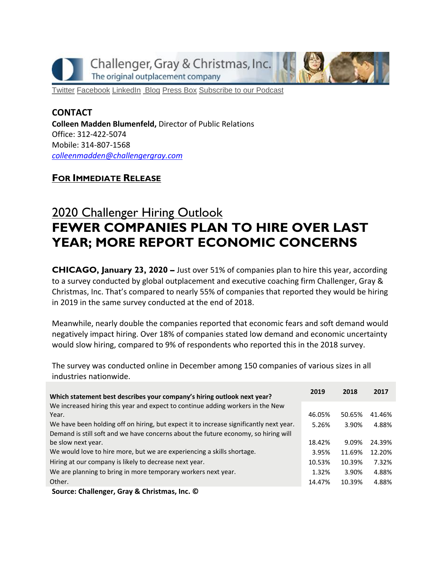Challenger, Gray & Christmas, Inc. The original outplacement company



[Twitter](https://twitter.com/#!/ChallengerGray) [Facebook](https://www.facebook.com/ChallengerGray) [LinkedIn](http://www.linkedin.com/company/28264?trk=tyah) [Blog](http://www.challengergray.com/press/blog) [Press](http://www.challengergray.com/press/press-releases) Box [Subscribe](https://itunes.apple.com/us/podcast/challenger-podcast-hr-passport/id1155541697?mt=2) to our Podcast

## **CONTACT Colleen Madden Blumenfeld,** Director of Public Relations Office: 312-422-5074 Mobile: 314-807-1568 *[colleenmadden@challengergray.com](mailto:colleenmadden@challengergray.com)*

## **FOR IMMEDIATE RELEASE**

## 2020 Challenger Hiring Outlook **FEWER COMPANIES PLAN TO HIRE OVER LAST YEAR; MORE REPORT ECONOMIC CONCERNS**

**CHICAGO, January 23, 2020 –** Just over 51% of companies plan to hire this year, according to a survey conducted by global outplacement and executive coaching firm Challenger, Gray & Christmas, Inc. That's compared to nearly 55% of companies that reported they would be hiring in 2019 in the same survey conducted at the end of 2018.

Meanwhile, nearly double the companies reported that economic fears and soft demand would negatively impact hiring. Over 18% of companies stated low demand and economic uncertainty would slow hiring, compared to 9% of respondents who reported this in the 2018 survey.

The survey was conducted online in December among 150 companies of various sizes in all industries nationwide.

| Which statement best describes your company's hiring outlook next year?                | 2019   | 2018   | 2017   |
|----------------------------------------------------------------------------------------|--------|--------|--------|
| We increased hiring this year and expect to continue adding workers in the New         |        |        |        |
| Year.                                                                                  | 46.05% | 50.65% | 41.46% |
| We have been holding off on hiring, but expect it to increase significantly next year. | 5.26%  | 3.90%  | 4.88%  |
| Demand is still soft and we have concerns about the future economy, so hiring will     |        |        |        |
| be slow next year.                                                                     | 18.42% | 9.09%  | 24.39% |
| We would love to hire more, but we are experiencing a skills shortage.                 | 3.95%  | 11.69% | 12.20% |
| Hiring at our company is likely to decrease next year.                                 | 10.53% | 10.39% | 7.32%  |
| We are planning to bring in more temporary workers next year.                          | 1.32%  | 3.90%  | 4.88%  |
| Other.                                                                                 | 14.47% | 10.39% | 4.88%  |
| Course: Challanger, Croy O Christmas, Inc. C                                           |        |        |        |

**Source: Challenger, Gray & Christmas, Inc. ©**